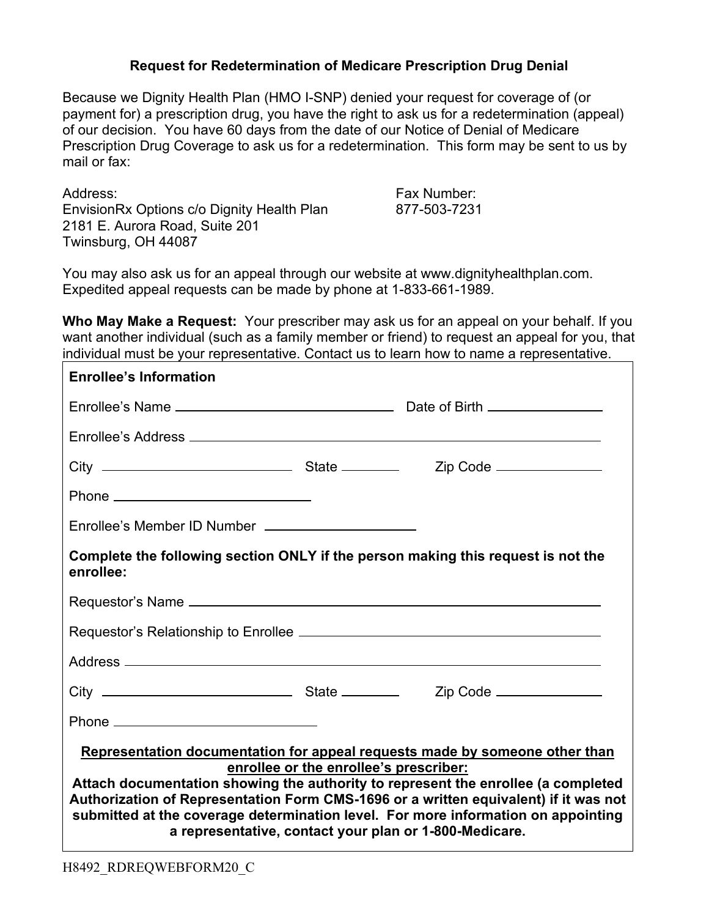## **Request for Redetermination of Medicare Prescription Drug Denial**

Because we Dignity Health Plan (HMO I-SNP) denied your request for coverage of (or payment for) a prescription drug, you have the right to ask us for a redetermination (appeal) of our decision. You have 60 days from the date of our Notice of Denial of Medicare Prescription Drug Coverage to ask us for a redetermination. This form may be sent to us by mail or fax:

Address: Fax Number: EnvisionRx Options c/o Dignity Health Plan 877-503-7231 2181 E. Aurora Road, Suite 201 Twinsburg, OH 44087

You may also ask us for an appeal through our website at www.dignityhealthplan.com. Expedited appeal requests can be made by phone at 1-833-661-1989.

**Who May Make a Request:** Your prescriber may ask us for an appeal on your behalf. If you want another individual (such as a family member or friend) to request an appeal for you, that individual must be your representative. Contact us to learn how to name a representative.

| <b>Enrollee's Information</b>                                                                                                                                                                                                                                                                                                                                                                                                                     |  |  |  |
|---------------------------------------------------------------------------------------------------------------------------------------------------------------------------------------------------------------------------------------------------------------------------------------------------------------------------------------------------------------------------------------------------------------------------------------------------|--|--|--|
|                                                                                                                                                                                                                                                                                                                                                                                                                                                   |  |  |  |
|                                                                                                                                                                                                                                                                                                                                                                                                                                                   |  |  |  |
|                                                                                                                                                                                                                                                                                                                                                                                                                                                   |  |  |  |
|                                                                                                                                                                                                                                                                                                                                                                                                                                                   |  |  |  |
| Enrollee's Member ID Number _______________________                                                                                                                                                                                                                                                                                                                                                                                               |  |  |  |
| Complete the following section ONLY if the person making this request is not the<br>enrollee:                                                                                                                                                                                                                                                                                                                                                     |  |  |  |
|                                                                                                                                                                                                                                                                                                                                                                                                                                                   |  |  |  |
|                                                                                                                                                                                                                                                                                                                                                                                                                                                   |  |  |  |
|                                                                                                                                                                                                                                                                                                                                                                                                                                                   |  |  |  |
|                                                                                                                                                                                                                                                                                                                                                                                                                                                   |  |  |  |
|                                                                                                                                                                                                                                                                                                                                                                                                                                                   |  |  |  |
| Representation documentation for appeal requests made by someone other than<br>enrollee or the enrollee's prescriber:<br>Attach documentation showing the authority to represent the enrollee (a completed<br>Authorization of Representation Form CMS-1696 or a written equivalent) if it was not<br>submitted at the coverage determination level. For more information on appointing<br>a representative, contact your plan or 1-800-Medicare. |  |  |  |